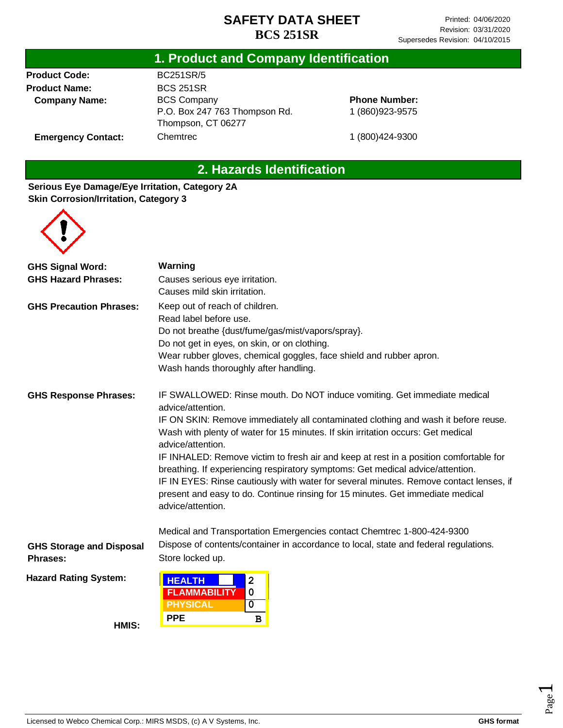#### **1. Product and Company Identification**

**Product Code: Product Name: Company Name:**

**Emergency Contact:**

BC251SR/5 BCS 251SR BCS Company P.O. Box 247 763 Thompson Rd. Thompson, CT 06277 **Chemtrec** 

**Phone Number:** 1 (860)923-9575

1 (800)424-9300

# **2. Hazards Identification**

#### **Serious Eye Damage/Eye Irritation, Category 2A Skin Corrosion/Irritation, Category 3**



| <b>GHS Signal Word:</b>         | Warning                                                                                                                                                                                       |  |  |
|---------------------------------|-----------------------------------------------------------------------------------------------------------------------------------------------------------------------------------------------|--|--|
| <b>GHS Hazard Phrases:</b>      | Causes serious eye irritation.                                                                                                                                                                |  |  |
|                                 | Causes mild skin irritation.                                                                                                                                                                  |  |  |
| <b>GHS Precaution Phrases:</b>  | Keep out of reach of children.                                                                                                                                                                |  |  |
|                                 | Read label before use.                                                                                                                                                                        |  |  |
|                                 | Do not breathe {dust/fume/gas/mist/vapors/spray}.                                                                                                                                             |  |  |
|                                 | Do not get in eyes, on skin, or on clothing.                                                                                                                                                  |  |  |
|                                 | Wear rubber gloves, chemical goggles, face shield and rubber apron.                                                                                                                           |  |  |
|                                 | Wash hands thoroughly after handling.                                                                                                                                                         |  |  |
| <b>GHS Response Phrases:</b>    | IF SWALLOWED: Rinse mouth. Do NOT induce vomiting. Get immediate medical<br>advice/attention.                                                                                                 |  |  |
|                                 | IF ON SKIN: Remove immediately all contaminated clothing and wash it before reuse.<br>Wash with plenty of water for 15 minutes. If skin irritation occurs: Get medical<br>advice/attention.   |  |  |
|                                 | IF INHALED: Remove victim to fresh air and keep at rest in a position comfortable for<br>breathing. If experiencing respiratory symptoms: Get medical advice/attention.                       |  |  |
|                                 | IF IN EYES: Rinse cautiously with water for several minutes. Remove contact lenses, if<br>present and easy to do. Continue rinsing for 15 minutes. Get immediate medical<br>advice/attention. |  |  |
|                                 | Medical and Transportation Emergencies contact Chemtrec 1-800-424-9300                                                                                                                        |  |  |
| <b>GHS Storage and Disposal</b> | Dispose of contents/container in accordance to local, state and federal regulations.                                                                                                          |  |  |
| <b>Phrases:</b>                 | Store locked up.                                                                                                                                                                              |  |  |
| <b>Hazard Rating System:</b>    | <b>HEALTH</b><br>2<br><b>FLAMMABILITY</b><br>$\mathbf 0$<br><b>PHYSICAL</b><br>0                                                                                                              |  |  |
|                                 | <b>PPE</b>                                                                                                                                                                                    |  |  |
| HMIS:                           | $\, {\bf B}$                                                                                                                                                                                  |  |  |

Licensed to Webco Chemical Corp.: MIRS MSDS, (c) A V Systems, Inc. **GHS** format **GHS** format

Page  $\overline{\phantom{0}}$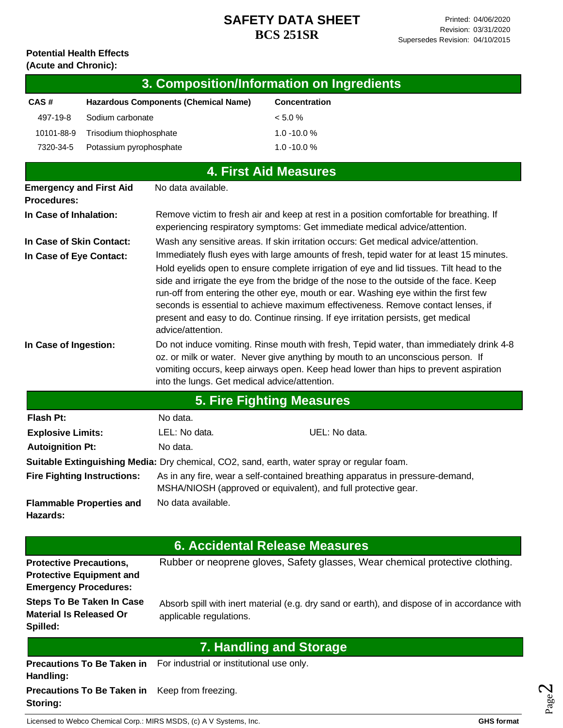#### **Potential Health Effects (Acute and Chronic):**

| 3. Composition/Information on Ingredients |                                             |                      |  |  |
|-------------------------------------------|---------------------------------------------|----------------------|--|--|
| CAS#                                      | <b>Hazardous Components (Chemical Name)</b> | <b>Concentration</b> |  |  |
| 497-19-8                                  | Sodium carbonate                            | $< 5.0 \%$           |  |  |
| 10101-88-9                                | Trisodium thiophosphate                     | $1.0 - 10.0 %$       |  |  |
| 7320-34-5                                 | Potassium pyrophosphate                     | $1.0 - 10.0 %$       |  |  |
|                                           |                                             |                      |  |  |

|                                                      |                                               | <b>4. First Aid Measures</b>                                                                                                                                                                                                                                                                                                                                                                                                                                                                                                                   |
|------------------------------------------------------|-----------------------------------------------|------------------------------------------------------------------------------------------------------------------------------------------------------------------------------------------------------------------------------------------------------------------------------------------------------------------------------------------------------------------------------------------------------------------------------------------------------------------------------------------------------------------------------------------------|
| <b>Emergency and First Aid</b><br><b>Procedures:</b> | No data available.                            |                                                                                                                                                                                                                                                                                                                                                                                                                                                                                                                                                |
| In Case of Inhalation:                               |                                               | Remove victim to fresh air and keep at rest in a position comfortable for breathing. If<br>experiencing respiratory symptoms: Get immediate medical advice/attention.                                                                                                                                                                                                                                                                                                                                                                          |
| In Case of Skin Contact:                             |                                               | Wash any sensitive areas. If skin irritation occurs: Get medical advice/attention.                                                                                                                                                                                                                                                                                                                                                                                                                                                             |
| In Case of Eye Contact:                              | advice/attention.                             | Immediately flush eyes with large amounts of fresh, tepid water for at least 15 minutes.<br>Hold eyelids open to ensure complete irrigation of eye and lid tissues. Tilt head to the<br>side and irrigate the eye from the bridge of the nose to the outside of the face. Keep<br>run-off from entering the other eye, mouth or ear. Washing eye within the first few<br>seconds is essential to achieve maximum effectiveness. Remove contact lenses, if<br>present and easy to do. Continue rinsing. If eye irritation persists, get medical |
| In Case of Ingestion:                                | into the lungs. Get medical advice/attention. | Do not induce vomiting. Rinse mouth with fresh, Tepid water, than immediately drink 4-8<br>oz. or milk or water. Never give anything by mouth to an unconscious person. If<br>vomiting occurs, keep airways open. Keep head lower than hips to prevent aspiration                                                                                                                                                                                                                                                                              |
|                                                      |                                               | <b>5. Fire Fighting Measures</b>                                                                                                                                                                                                                                                                                                                                                                                                                                                                                                               |
| <b>Flash Pt:</b>                                     | No data.                                      |                                                                                                                                                                                                                                                                                                                                                                                                                                                                                                                                                |
| <b>Explosive Limits:</b>                             | LEL: No data.                                 | UEL: No data.                                                                                                                                                                                                                                                                                                                                                                                                                                                                                                                                  |

| <b>Explosive Limits:</b>                    | LEL: No data.                                                                              | UEL: No data.                                                                 |
|---------------------------------------------|--------------------------------------------------------------------------------------------|-------------------------------------------------------------------------------|
| <b>Autoignition Pt:</b>                     | No data.                                                                                   |                                                                               |
|                                             | Suitable Extinguishing Media: Dry chemical, CO2, sand, earth, water spray or regular foam. |                                                                               |
| <b>Fire Fighting Instructions:</b>          | MSHA/NIOSH (approved or equivalent), and full protective gear.                             | As in any fire, wear a self-contained breathing apparatus in pressure-demand, |
| <b>Flammable Properties and</b><br>Hazards: | No data available.                                                                         |                                                                               |

**Protective Precautions, Protective Equipment and Emergency Procedures: Steps To Be Taken In Case Material Is Released Or Spilled:** Rubber or neoprene gloves, Safety glasses, Wear chemical protective clothing. Absorb spill with inert material (e.g. dry sand or earth), and dispose of in accordance with applicable regulations. **Precautions To Be Taken in**  For industrial or institutional use only. **Handling: 6. Accidental Release Measures 7. Handling and Storage**

**Precautions To Be Taken in**  Keep from freezing. **Storing:**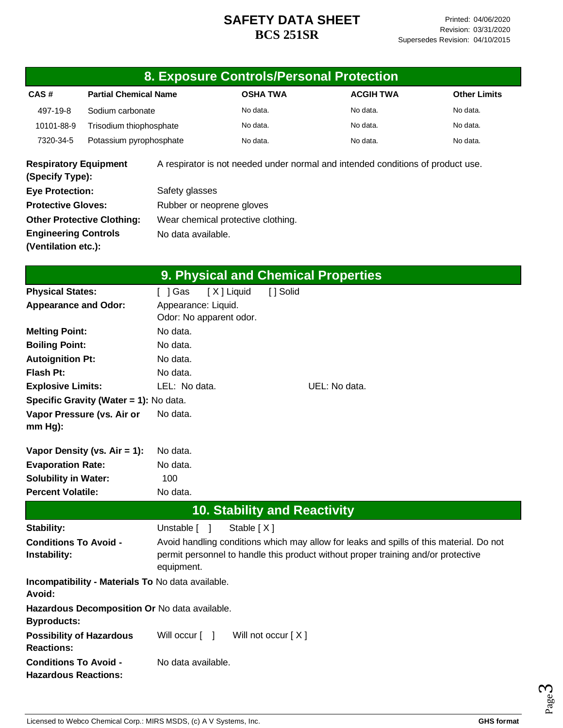|                                                             |                                                   |                                                |            |                                     | 8. Exposure Controls/Personal Protection                                          |                                                                                         |  |
|-------------------------------------------------------------|---------------------------------------------------|------------------------------------------------|------------|-------------------------------------|-----------------------------------------------------------------------------------|-----------------------------------------------------------------------------------------|--|
| CAS#                                                        | <b>Partial Chemical Name</b>                      |                                                |            | <b>OSHA TWA</b>                     | <b>ACGIH TWA</b>                                                                  | <b>Other Limits</b>                                                                     |  |
| 497-19-8                                                    | Sodium carbonate                                  |                                                |            | No data.                            | No data.                                                                          | No data.                                                                                |  |
| 10101-88-9                                                  | Trisodium thiophosphate                           |                                                |            | No data.                            | No data.                                                                          | No data.                                                                                |  |
| 7320-34-5                                                   | Potassium pyrophosphate                           |                                                |            | No data.                            | No data.                                                                          | No data.                                                                                |  |
| <b>Respiratory Equipment</b><br>(Specify Type):             |                                                   |                                                |            |                                     | A respirator is not needed under normal and intended conditions of product use.   |                                                                                         |  |
| <b>Eye Protection:</b>                                      |                                                   | Safety glasses                                 |            |                                     |                                                                                   |                                                                                         |  |
| <b>Protective Gloves:</b>                                   |                                                   | Rubber or neoprene gloves                      |            |                                     |                                                                                   |                                                                                         |  |
|                                                             | <b>Other Protective Clothing:</b>                 | Wear chemical protective clothing.             |            |                                     |                                                                                   |                                                                                         |  |
| <b>Engineering Controls</b>                                 |                                                   | No data available.                             |            |                                     |                                                                                   |                                                                                         |  |
| (Ventilation etc.):                                         |                                                   |                                                |            |                                     |                                                                                   |                                                                                         |  |
|                                                             |                                                   |                                                |            |                                     | 9. Physical and Chemical Properties                                               |                                                                                         |  |
| <b>Physical States:</b>                                     |                                                   | [ ] Gas                                        | [X] Liquid | [] Solid                            |                                                                                   |                                                                                         |  |
| <b>Appearance and Odor:</b>                                 |                                                   | Appearance: Liquid.<br>Odor: No apparent odor. |            |                                     |                                                                                   |                                                                                         |  |
| <b>Melting Point:</b>                                       |                                                   | No data.                                       |            |                                     |                                                                                   |                                                                                         |  |
| <b>Boiling Point:</b>                                       |                                                   | No data.                                       |            |                                     |                                                                                   |                                                                                         |  |
| <b>Autoignition Pt:</b>                                     |                                                   | No data.                                       |            |                                     |                                                                                   |                                                                                         |  |
| <b>Flash Pt:</b>                                            |                                                   | No data.                                       |            |                                     |                                                                                   |                                                                                         |  |
| <b>Explosive Limits:</b>                                    |                                                   | LEL: No data.                                  |            |                                     | UEL: No data.                                                                     |                                                                                         |  |
|                                                             | Specific Gravity (Water = 1): No data.            |                                                |            |                                     |                                                                                   |                                                                                         |  |
| $mm Hg$ :                                                   | Vapor Pressure (vs. Air or                        | No data.                                       |            |                                     |                                                                                   |                                                                                         |  |
|                                                             | Vapor Density (vs. $Air = 1$ ):                   | No data.                                       |            |                                     |                                                                                   |                                                                                         |  |
| <b>Evaporation Rate:</b>                                    |                                                   | No data.                                       |            |                                     |                                                                                   |                                                                                         |  |
| <b>Solubility in Water:</b>                                 |                                                   | 100                                            |            |                                     |                                                                                   |                                                                                         |  |
| <b>Percent Volatile:</b>                                    |                                                   | No data.                                       |            |                                     |                                                                                   |                                                                                         |  |
|                                                             |                                                   |                                                |            | <b>10. Stability and Reactivity</b> |                                                                                   |                                                                                         |  |
| Stability:                                                  |                                                   | Unstable [ ]                                   |            | Stable [X]                          |                                                                                   |                                                                                         |  |
| <b>Conditions To Avoid -</b><br>Instability:                |                                                   | equipment.                                     |            |                                     | permit personnel to handle this product without proper training and/or protective | Avoid handling conditions which may allow for leaks and spills of this material. Do not |  |
|                                                             | Incompatibility - Materials To No data available. |                                                |            |                                     |                                                                                   |                                                                                         |  |
| Avoid:                                                      | Hazardous Decomposition Or No data available.     |                                                |            |                                     |                                                                                   |                                                                                         |  |
| <b>Byproducts:</b>                                          |                                                   |                                                |            |                                     |                                                                                   |                                                                                         |  |
| <b>Possibility of Hazardous</b><br><b>Reactions:</b>        |                                                   | Will occur [ ]                                 |            | Will not occur [X]                  |                                                                                   |                                                                                         |  |
| <b>Conditions To Avoid -</b><br><b>Hazardous Reactions:</b> |                                                   | No data available.                             |            |                                     |                                                                                   |                                                                                         |  |

Page ო